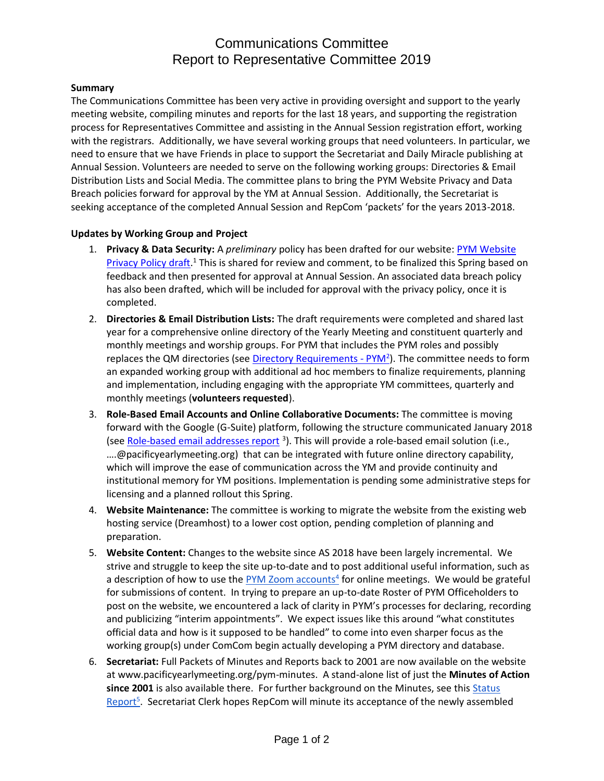## Communications Committee Report to Representative Committee 2019

## **Summary**

The Communications Committee has been very active in providing oversight and support to the yearly meeting website, compiling minutes and reports for the last 18 years, and supporting the registration process for Representatives Committee and assisting in the Annual Session registration effort, working with the registrars. Additionally, we have several working groups that need volunteers. In particular, we need to ensure that we have Friends in place to support the Secretariat and Daily Miracle publishing at Annual Session. Volunteers are needed to serve on the following working groups: Directories & Email Distribution Lists and Social Media. The committee plans to bring the PYM Website Privacy and Data Breach policies forward for approval by the YM at Annual Session. Additionally, the Secretariat is seeking acceptance of the completed Annual Session and RepCom 'packets' for the years 2013-2018.

## **Updates by Working Group and Project**

- 1. **Privacy & Data Security:** A *preliminary* policy has been drafted for our website: [PYM Website](https://docs.google.com/document/d/1G3gMH2ZllF694gCL6EmDtVtzu3kg_pi5qqkCcqSr7NM/edit?usp=sharing)  [Privacy Policy draft.](https://docs.google.com/document/d/1G3gMH2ZllF694gCL6EmDtVtzu3kg_pi5qqkCcqSr7NM/edit?usp=sharing)<sup>1</sup> This is shared for review and comment, to be finalized this Spring based on feedback and then presented for approval at Annual Session. An associated data breach policy has also been drafted, which will be included for approval with the privacy policy, once it is completed.
- 2. **Directories & Email Distribution Lists:** The draft requirements were completed and shared last year for a comprehensive online directory of the Yearly Meeting and constituent quarterly and monthly meetings and worship groups. For PYM that includes the PYM roles and possibly replaces the QM directories (see *Directory Requirements - PYM<sup>2</sup>*). The committee needs to form an expanded working group with additional ad hoc members to finalize requirements, planning and implementation, including engaging with the appropriate YM committees, quarterly and monthly meetings (**volunteers requested**).
- 3. **Role-Based Email Accounts and Online Collaborative Documents:** The committee is moving forward with the Google (G-Suite) platform, following the structure communicated January 2018 (see [Role-based email addresses report](https://www.pacificyearlymeeting.org/2018/documents/pym-committee-reports/communications-committee/role-based-email-addresses-for-pym-a-progress-report/) <sup>3</sup>). This will provide a role-based email solution (i.e., …[.@pacificyearlymeeting.org\)](about:blank) that can be integrated with future online directory capability, which will improve the ease of communication across the YM and provide continuity and institutional memory for YM positions. Implementation is pending some administrative steps for licensing and a planned rollout this Spring.
- 4. **Website Maintenance:** The committee is working to migrate the website from the existing web hosting service (Dreamhost) to a lower cost option, pending completion of planning and preparation.
- 5. **Website Content:** Changes to the website since AS 2018 have been largely incremental. We strive and struggle to keep the site up-to-date and to post additional useful information, such as a description of how to use the **PYM Zoom accounts<sup>4</sup> for online meetings**. We would be grateful for submissions of content. In trying to prepare an up-to-date Roster of PYM Officeholders to post on the website, we encountered a lack of clarity in PYM's processes for declaring, recording and publicizing "interim appointments". We expect issues like this around "what constitutes official data and how is it supposed to be handled" to come into even sharper focus as the working group(s) under ComCom begin actually developing a PYM directory and database.
- 6. **Secretariat:** Full Packets of Minutes and Reports back to 2001 are now available on the website at www.pacificyearlymeeting.org/pym-minutes. A stand-alone list of just the **Minutes of Action since 2001** is also available there. For further background on the Minutes, see this [Status](https://www.pacificyearlymeeting.org/2018/uncategorized/status-report-on-annual-session-minutes-packets/)  [Report](https://www.pacificyearlymeeting.org/2018/uncategorized/status-report-on-annual-session-minutes-packets/)<sup>5</sup>. Secretariat Clerk hopes RepCom will minute its acceptance of the newly assembled